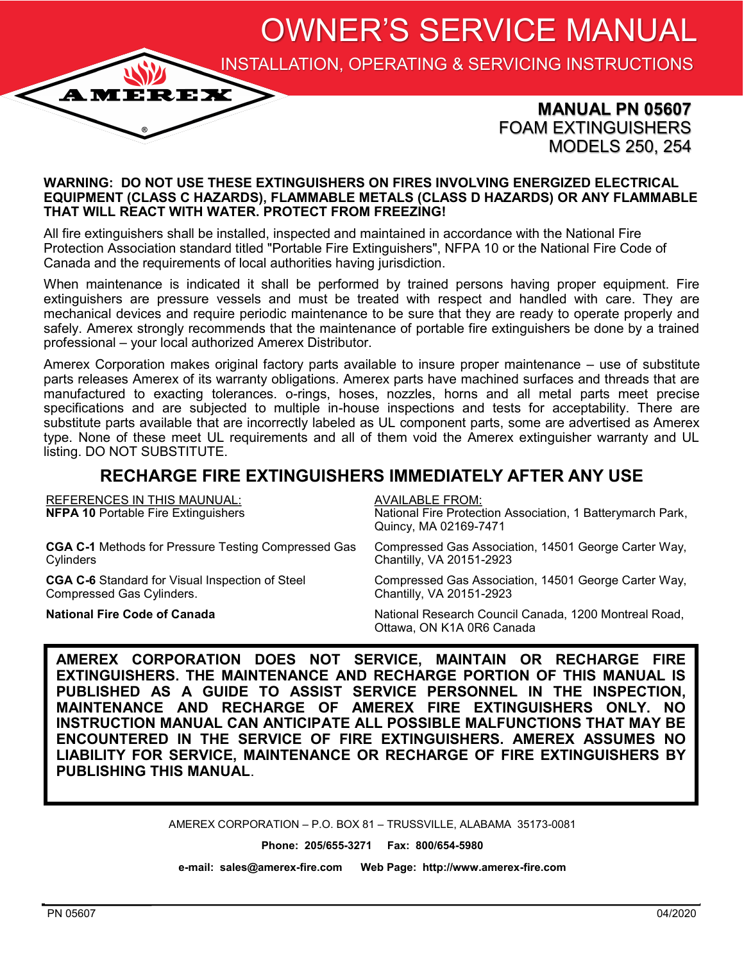OWNER'S SERVICE MANUAL

INSTALLATION, OPERATING & SERVICING INSTRUCTIONS

### **MANUAL PN 05607** FOAM EXTINGUISHERS MODELS 250, 254

#### **WARNING: DO NOT USE THESE EXTINGUISHERS ON FIRES INVOLVING ENERGIZED ELECTRICAL EQUIPMENT (CLASS C HAZARDS), FLAMMABLE METALS (CLASS D HAZARDS) OR ANY FLAMMABLE THAT WILL REACT WITH WATER. PROTECT FROM FREEZING!**

All fire extinguishers shall be installed, inspected and maintained in accordance with the National Fire Protection Association standard titled "Portable Fire Extinguishers", NFPA 10 or the National Fire Code of Canada and the requirements of local authorities having jurisdiction.

When maintenance is indicated it shall be performed by trained persons having proper equipment. Fire extinguishers are pressure vessels and must be treated with respect and handled with care. They are mechanical devices and require periodic maintenance to be sure that they are ready to operate properly and safely. Amerex strongly recommends that the maintenance of portable fire extinguishers be done by a trained professional – your local authorized Amerex Distributor.

Amerex Corporation makes original factory parts available to insure proper maintenance – use of substitute parts releases Amerex of its warranty obligations. Amerex parts have machined surfaces and threads that are manufactured to exacting tolerances. o-rings, hoses, nozzles, horns and all metal parts meet precise specifications and are subjected to multiple in-house inspections and tests for acceptability. There are substitute parts available that are incorrectly labeled as UL component parts, some are advertised as Amerex type. None of these meet UL requirements and all of them void the Amerex extinguisher warranty and UL listing. DO NOT SUBSTITUTE.

## **RECHARGE FIRE EXTINGUISHERS IMMEDIATELY AFTER ANY USE**

| <b>REFERENCES IN THIS MAUNUAL:</b><br><b>NFPA 10 Portable Fire Extinguishers</b> | <b>AVAILABLE FROM:</b><br>National Fire Protection Association, 1 Batterymarch Park,<br>Quincy, MA 02169-7471 |
|----------------------------------------------------------------------------------|---------------------------------------------------------------------------------------------------------------|
| <b>CGA C-1</b> Methods for Pressure Testing Compressed Gas                       | Compressed Gas Association, 14501 George Carter Way,                                                          |
| Cylinders                                                                        | Chantilly, VA 20151-2923                                                                                      |
| <b>CGA C-6</b> Standard for Visual Inspection of Steel                           | Compressed Gas Association, 14501 George Carter Way,                                                          |
| Compressed Gas Cylinders.                                                        | Chantilly, VA 20151-2923                                                                                      |
| <b>National Fire Code of Canada</b>                                              | National Research Council Canada, 1200 Montreal Road,<br>Ottawa, ON K1A 0R6 Canada                            |

**AMEREX CORPORATION DOES NOT SERVICE, MAINTAIN OR RECHARGE FIRE EXTINGUISHERS. THE MAINTENANCE AND RECHARGE PORTION OF THIS MANUAL IS PUBLISHED AS A GUIDE TO ASSIST SERVICE PERSONNEL IN THE INSPECTION, MAINTENANCE AND RECHARGE OF AMEREX FIRE EXTINGUISHERS ONLY. NO INSTRUCTION MANUAL CAN ANTICIPATE ALL POSSIBLE MALFUNCTIONS THAT MAY BE ENCOUNTERED IN THE SERVICE OF FIRE EXTINGUISHERS. AMEREX ASSUMES NO LIABILITY FOR SERVICE, MAINTENANCE OR RECHARGE OF FIRE EXTINGUISHERS BY PUBLISHING THIS MANUAL**.

AMEREX CORPORATION – P.O. BOX 81 – TRUSSVILLE, ALABAMA 35173-0081

**Phone: 205/655-3271 Fax: 800/654-5980**

**e-mail: sales@amerex-fire.com Web Page: http://www.amerex-fire.com**

**AMEREX**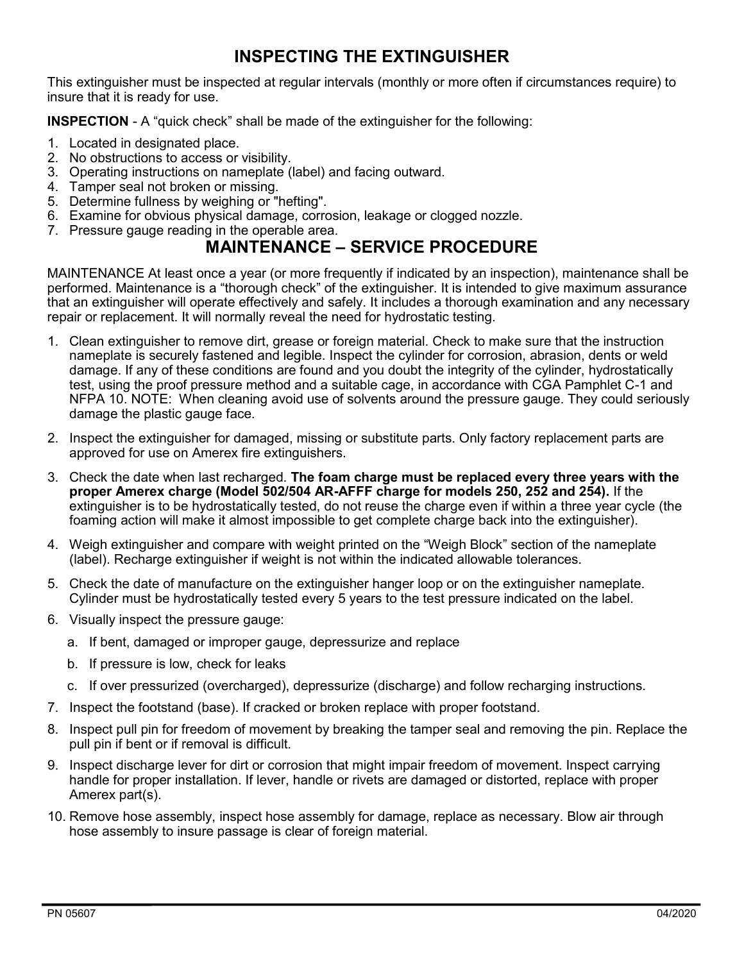# **INSPECTING THE EXTINGUISHER**

This extinguisher must be inspected at regular intervals (monthly or more often if circumstances require) to insure that it is ready for use.

**INSPECTION** - A "quick check" shall be made of the extinguisher for the following:

- 1. Located in designated place.
- 2. No obstructions to access or visibility.
- 3. Operating instructions on nameplate (label) and facing outward.
- 4. Tamper seal not broken or missing.
- 5. Determine fullness by weighing or "hefting".
- 6. Examine for obvious physical damage, corrosion, leakage or clogged nozzle.
- 7. Pressure gauge reading in the operable area.

## **MAINTENANCE – SERVICE PROCEDURE**

MAINTENANCE At least once a year (or more frequently if indicated by an inspection), maintenance shall be performed. Maintenance is a "thorough check" of the extinguisher. It is intended to give maximum assurance that an extinguisher will operate effectively and safely. It includes a thorough examination and any necessary repair or replacement. It will normally reveal the need for hydrostatic testing.

- 1. Clean extinguisher to remove dirt, grease or foreign material. Check to make sure that the instruction nameplate is securely fastened and legible. Inspect the cylinder for corrosion, abrasion, dents or weld damage. If any of these conditions are found and you doubt the integrity of the cylinder, hydrostatically test, using the proof pressure method and a suitable cage, in accordance with CGA Pamphlet C-1 and NFPA 10. NOTE: When cleaning avoid use of solvents around the pressure gauge. They could seriously damage the plastic gauge face.
- 2. Inspect the extinguisher for damaged, missing or substitute parts. Only factory replacement parts are approved for use on Amerex fire extinguishers.
- 3. Check the date when last recharged. **The foam charge must be replaced every three years with the proper Amerex charge (Model 502/504 AR-AFFF charge for models 250, 252 and 254).** If the extinguisher is to be hydrostatically tested, do not reuse the charge even if within a three year cycle (the foaming action will make it almost impossible to get complete charge back into the extinguisher).
- 4. Weigh extinguisher and compare with weight printed on the "Weigh Block" section of the nameplate (label). Recharge extinguisher if weight is not within the indicated allowable tolerances.
- 5. Check the date of manufacture on the extinguisher hanger loop or on the extinguisher nameplate. Cylinder must be hydrostatically tested every 5 years to the test pressure indicated on the label.
- 6. Visually inspect the pressure gauge:
	- a. If bent, damaged or improper gauge, depressurize and replace
	- b. If pressure is low, check for leaks
	- c. If over pressurized (overcharged), depressurize (discharge) and follow recharging instructions.
- 7. Inspect the footstand (base). If cracked or broken replace with proper footstand.
- 8. Inspect pull pin for freedom of movement by breaking the tamper seal and removing the pin. Replace the pull pin if bent or if removal is difficult.
- 9. Inspect discharge lever for dirt or corrosion that might impair freedom of movement. Inspect carrying handle for proper installation. If lever, handle or rivets are damaged or distorted, replace with proper Amerex part(s).
- 10. Remove hose assembly, inspect hose assembly for damage, replace as necessary. Blow air through hose assembly to insure passage is clear of foreign material.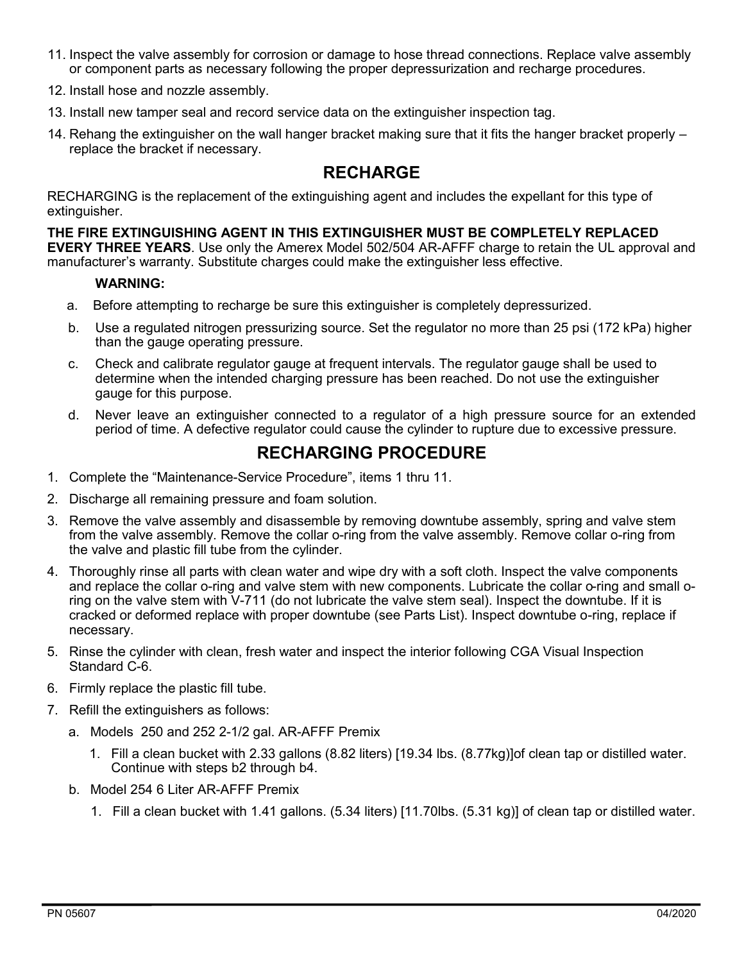- 11. Inspect the valve assembly for corrosion or damage to hose thread connections. Replace valve assembly or component parts as necessary following the proper depressurization and recharge procedures.
- 12. Install hose and nozzle assembly.
- 13. Install new tamper seal and record service data on the extinguisher inspection tag.
- 14. Rehang the extinguisher on the wall hanger bracket making sure that it fits the hanger bracket properly replace the bracket if necessary.

### **RECHARGE**

RECHARGING is the replacement of the extinguishing agent and includes the expellant for this type of extinguisher.

**THE FIRE EXTINGUISHING AGENT IN THIS EXTINGUISHER MUST BE COMPLETELY REPLACED EVERY THREE YEARS**. Use only the Amerex Model 502/504 AR-AFFF charge to retain the UL approval and manufacturer's warranty. Substitute charges could make the extinguisher less effective.

#### **WARNING:**

- a. Before attempting to recharge be sure this extinguisher is completely depressurized.
- b. Use a regulated nitrogen pressurizing source. Set the regulator no more than 25 psi (172 kPa) higher than the gauge operating pressure.
- c. Check and calibrate regulator gauge at frequent intervals. The regulator gauge shall be used to determine when the intended charging pressure has been reached. Do not use the extinguisher gauge for this purpose.
- d. Never leave an extinguisher connected to a regulator of a high pressure source for an extended period of time. A defective regulator could cause the cylinder to rupture due to excessive pressure.

### **RECHARGING PROCEDURE**

- 1. Complete the "Maintenance-Service Procedure", items 1 thru 11.
- 2. Discharge all remaining pressure and foam solution.
- 3. Remove the valve assembly and disassemble by removing downtube assembly, spring and valve stem from the valve assembly. Remove the collar o-ring from the valve assembly. Remove collar o-ring from the valve and plastic fill tube from the cylinder.
- 4. Thoroughly rinse all parts with clean water and wipe dry with a soft cloth. Inspect the valve components and replace the collar o-ring and valve stem with new components. Lubricate the collar o-ring and small oring on the valve stem with V-711 (do not lubricate the valve stem seal). Inspect the downtube. If it is cracked or deformed replace with proper downtube (see Parts List). Inspect downtube o-ring, replace if necessary.
- 5. Rinse the cylinder with clean, fresh water and inspect the interior following CGA Visual Inspection Standard C-6.
- 6. Firmly replace the plastic fill tube.
- 7. Refill the extinguishers as follows:
	- a. Models 250 and 252 2-1/2 gal. AR-AFFF Premix
		- 1. Fill a clean bucket with 2.33 gallons (8.82 liters) [19.34 lbs. (8.77kg)]of clean tap or distilled water. Continue with steps b2 through b4.
	- b. Model 254 6 Liter AR-AFFF Premix
		- 1. Fill a clean bucket with 1.41 gallons. (5.34 liters) [11.70lbs. (5.31 kg)] of clean tap or distilled water.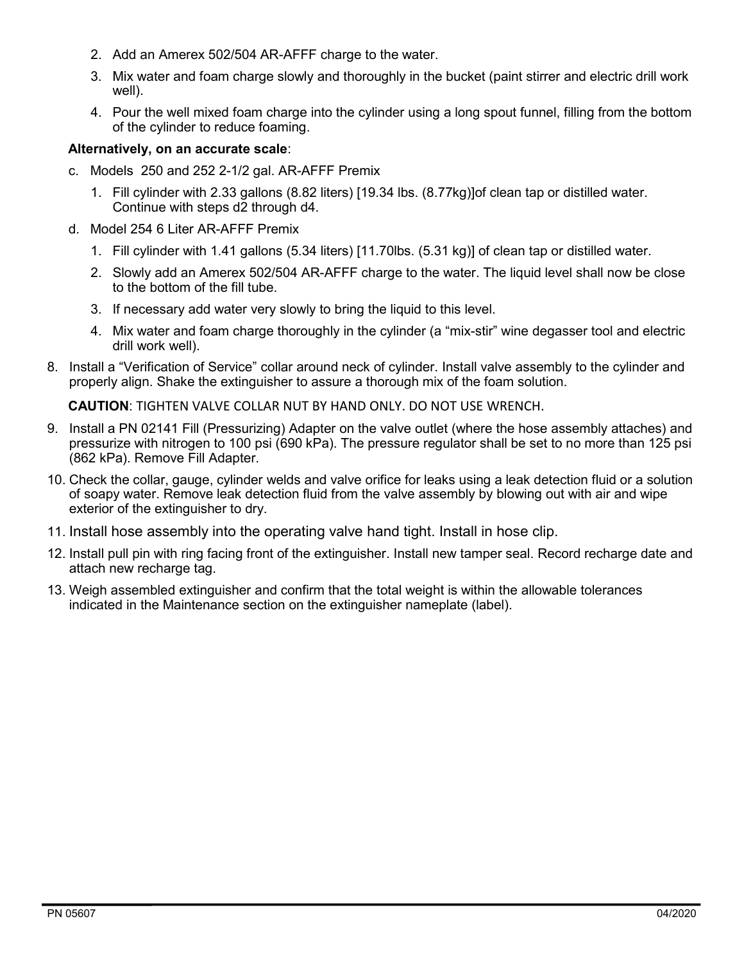- 2. Add an Amerex 502/504 AR-AFFF charge to the water.
- 3. Mix water and foam charge slowly and thoroughly in the bucket (paint stirrer and electric drill work well).
- 4. Pour the well mixed foam charge into the cylinder using a long spout funnel, filling from the bottom of the cylinder to reduce foaming.

### **Alternatively, on an accurate scale**:

- c. Models 250 and 252 2-1/2 gal. AR-AFFF Premix
	- 1. Fill cylinder with 2.33 gallons (8.82 liters) [19.34 lbs. (8.77kg)]of clean tap or distilled water. Continue with steps d2 through d4.
- d. Model 254 6 Liter AR-AFFF Premix
	- 1. Fill cylinder with 1.41 gallons (5.34 liters) [11.70lbs. (5.31 kg)] of clean tap or distilled water.
	- 2. Slowly add an Amerex 502/504 AR-AFFF charge to the water. The liquid level shall now be close to the bottom of the fill tube.
	- 3. If necessary add water very slowly to bring the liquid to this level.
	- 4. Mix water and foam charge thoroughly in the cylinder (a "mix-stir" wine degasser tool and electric drill work well).
- 8. Install a "Verification of Service" collar around neck of cylinder. Install valve assembly to the cylinder and properly align. Shake the extinguisher to assure a thorough mix of the foam solution.

**CAUTION**: TIGHTEN VALVE COLLAR NUT BY HAND ONLY. DO NOT USE WRENCH.

- 9. Install a PN 02141 Fill (Pressurizing) Adapter on the valve outlet (where the hose assembly attaches) and pressurize with nitrogen to 100 psi (690 kPa). The pressure regulator shall be set to no more than 125 psi (862 kPa). Remove Fill Adapter.
- 10. Check the collar, gauge, cylinder welds and valve orifice for leaks using a leak detection fluid or a solution of soapy water. Remove leak detection fluid from the valve assembly by blowing out with air and wipe exterior of the extinguisher to dry.
- 11. Install hose assembly into the operating valve hand tight. Install in hose clip.
- 12. Install pull pin with ring facing front of the extinguisher. Install new tamper seal. Record recharge date and attach new recharge tag.
- 13. Weigh assembled extinguisher and confirm that the total weight is within the allowable tolerances indicated in the Maintenance section on the extinguisher nameplate (label).